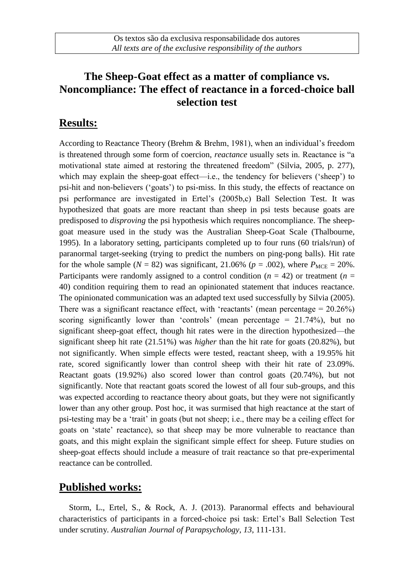# **The Sheep-Goat effect as a matter of compliance vs. Noncompliance: The effect of reactance in a forced-choice ball selection test**

## **Results:**

According to Reactance Theory (Brehm & Brehm, 1981), when an individual's freedom is threatened through some form of coercion, *reactance* usually sets in. Reactance is "a motivational state aimed at restoring the threatened freedom" (Silvia, 2005, p. 277), which may explain the sheep-goat effect—i.e., the tendency for believers ('sheep') to psi-hit and non-believers ('goats') to psi-miss. In this study, the effects of reactance on psi performance are investigated in Ertel's (2005b,c) Ball Selection Test. It was hypothesized that goats are more reactant than sheep in psi tests because goats are predisposed to *disproving* the psi hypothesis which requires noncompliance. The sheepgoat measure used in the study was the Australian Sheep-Goat Scale (Thalbourne, 1995). In a laboratory setting, participants completed up to four runs (60 trials/run) of paranormal target-seeking (trying to predict the numbers on ping-pong balls). Hit rate for the whole sample ( $N = 82$ ) was significant, 21.06% ( $p = .002$ ), where  $P_{MCE} = 20$ %. Participants were randomly assigned to a control condition ( $n = 42$ ) or treatment ( $n =$ 40) condition requiring them to read an opinionated statement that induces reactance. The opinionated communication was an adapted text used successfully by Silvia (2005). There was a significant reactance effect, with 'reactants' (mean percentage  $= 20.26\%$ ) scoring significantly lower than 'controls' (mean percentage  $= 21.74\%$ ), but no significant sheep-goat effect, though hit rates were in the direction hypothesized—the significant sheep hit rate (21.51%) was *higher* than the hit rate for goats (20.82%), but not significantly. When simple effects were tested, reactant sheep, with a 19.95% hit rate, scored significantly lower than control sheep with their hit rate of 23.09%. Reactant goats (19.92%) also scored lower than control goats (20.74%), but not significantly. Note that reactant goats scored the lowest of all four sub-groups, and this was expected according to reactance theory about goats, but they were not significantly lower than any other group. Post hoc, it was surmised that high reactance at the start of psi-testing may be a 'trait' in goats (but not sheep; i.e., there may be a ceiling effect for goats on 'state' reactance), so that sheep may be more vulnerable to reactance than goats, and this might explain the significant simple effect for sheep. Future studies on sheep-goat effects should include a measure of trait reactance so that pre-experimental reactance can be controlled.

#### **Published works:**

Storm, L., Ertel, S., & Rock, A. J. (2013). Paranormal effects and behavioural characteristics of participants in a forced-choice psi task: Ertel's Ball Selection Test under scrutiny*. Australian Journal of Parapsychology, 13*, 111-131.